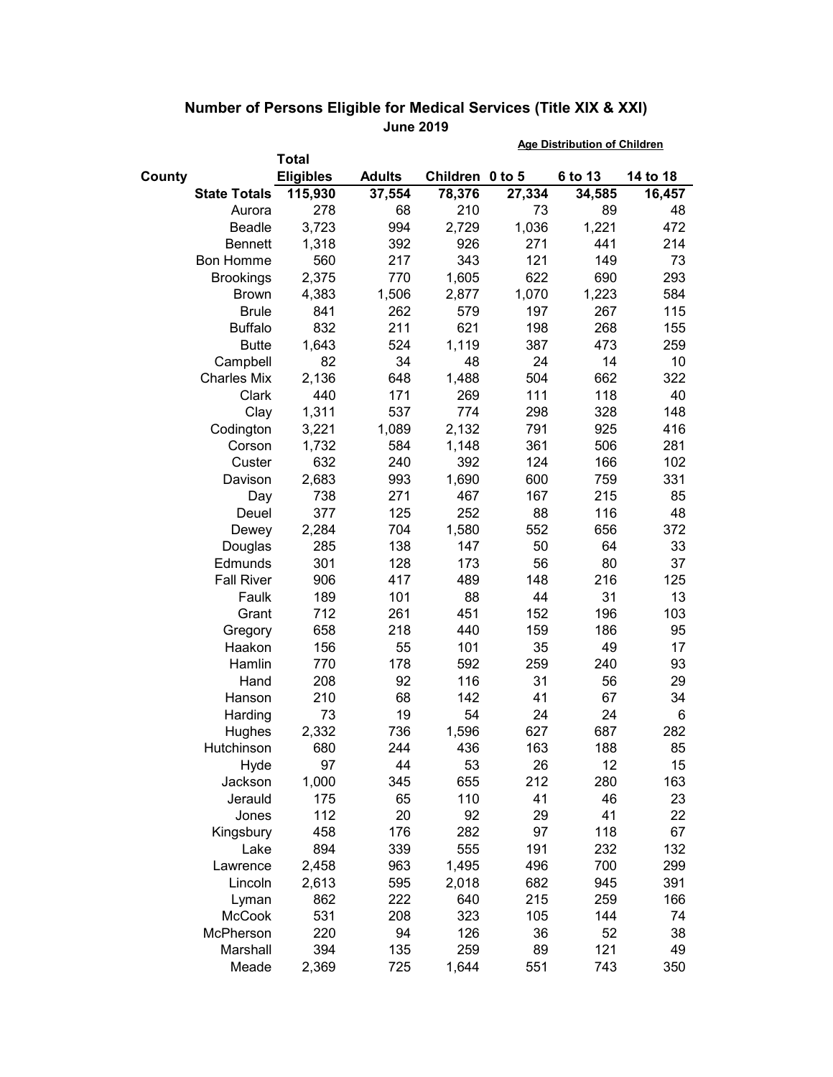|        |                     |                  |               | <b>Age Distribution of Children</b> |        |         |          |
|--------|---------------------|------------------|---------------|-------------------------------------|--------|---------|----------|
|        |                     | Total            |               |                                     |        |         |          |
| County |                     | <b>Eligibles</b> | <b>Adults</b> | Children 0 to 5                     |        | 6 to 13 | 14 to 18 |
|        | <b>State Totals</b> | 115,930          | 37,554        | 78,376                              | 27,334 | 34,585  | 16,457   |
|        | Aurora              | 278              | 68            | 210                                 | 73     | 89      | 48       |
|        | Beadle              | 3,723            | 994           | 2,729                               | 1,036  | 1,221   | 472      |
|        | <b>Bennett</b>      | 1,318            | 392           | 926                                 | 271    | 441     | 214      |
|        | <b>Bon Homme</b>    | 560              | 217           | 343                                 | 121    | 149     | 73       |
|        | <b>Brookings</b>    | 2,375            | 770           | 1,605                               | 622    | 690     | 293      |
|        | <b>Brown</b>        | 4,383            | 1,506         | 2,877                               | 1,070  | 1,223   | 584      |
|        | <b>Brule</b>        | 841              | 262           | 579                                 | 197    | 267     | 115      |
|        | <b>Buffalo</b>      | 832              | 211           | 621                                 | 198    | 268     | 155      |
|        | <b>Butte</b>        | 1,643            | 524           | 1,119                               | 387    | 473     | 259      |
|        | Campbell            | 82               | 34            | 48                                  | 24     | 14      | 10       |
|        | <b>Charles Mix</b>  | 2,136            | 648           | 1,488                               | 504    | 662     | 322      |
|        | Clark               | 440              | 171           | 269                                 | 111    | 118     | 40       |
|        | Clay                | 1,311            | 537           | 774                                 | 298    | 328     | 148      |
|        | Codington           | 3,221            | 1,089         | 2,132                               | 791    | 925     | 416      |
|        | Corson              | 1,732            | 584           | 1,148                               | 361    | 506     | 281      |
|        | Custer              | 632              | 240           | 392                                 | 124    | 166     | 102      |
|        | Davison             | 2,683            | 993           | 1,690                               | 600    | 759     | 331      |
|        | Day                 | 738              | 271           | 467                                 | 167    | 215     | 85       |
|        | Deuel               | 377              | 125           | 252                                 | 88     | 116     | 48       |
|        | Dewey               | 2,284            | 704           | 1,580                               | 552    | 656     | 372      |
|        | Douglas             | 285              | 138           | 147                                 | 50     | 64      | 33       |
|        | Edmunds             | 301              | 128           | 173                                 | 56     | 80      | 37       |
|        | <b>Fall River</b>   | 906              | 417           | 489                                 | 148    | 216     | 125      |
|        | Faulk               | 189              | 101           | 88                                  | 44     | 31      | 13       |
|        | Grant               | 712              | 261           | 451                                 | 152    | 196     | 103      |
|        | Gregory             | 658              | 218           | 440                                 | 159    | 186     | 95       |
|        | Haakon              | 156              | 55            | 101                                 | 35     | 49      | 17       |
|        | Hamlin              | 770              | 178           | 592                                 | 259    | 240     | 93       |
|        | Hand                | 208              | 92            | 116                                 | 31     | 56      | 29       |
|        | Hanson              | 210              | 68            | 142                                 | 41     | 67      | 34       |
|        | Harding             | 73               | 19            | 54                                  | 24     | 24      | 6        |
|        | Hughes              | 2,332            | 736           | 1,596                               | 627    | 687     | 282      |
|        | Hutchinson          | 680              | 244           | 436                                 | 163    | 188     | 85       |
|        | Hyde                | 97               | 44            | 53                                  | 26     | 12      | 15       |
|        | Jackson             | 1,000            | 345           | 655                                 | 212    | 280     | 163      |
|        | Jerauld             | 175              | 65            | 110                                 | 41     | 46      | 23       |
|        | Jones               | 112              | 20            | 92                                  | 29     | 41      | 22       |
|        | Kingsbury           | 458              | 176           | 282                                 | 97     | 118     | 67       |
|        | Lake                | 894              | 339           | 555                                 | 191    | 232     | 132      |
|        | Lawrence            | 2,458            | 963           | 1,495                               | 496    | 700     | 299      |
|        | Lincoln             | 2,613            | 595           | 2,018                               | 682    | 945     | 391      |
|        | Lyman               | 862              | 222           | 640                                 | 215    | 259     | 166      |
|        | <b>McCook</b>       | 531              | 208           | 323                                 | 105    | 144     | 74       |
|        | McPherson           | 220              | 94            | 126                                 | 36     | 52      | 38       |
|        | Marshall            | 394              | 135           | 259                                 | 89     | 121     | 49       |
|        | Meade               | 2,369            | 725           | 1,644                               | 551    | 743     | 350      |

## **Number of Persons Eligible for Medical Services (Title XIX & XXI) June 2019**